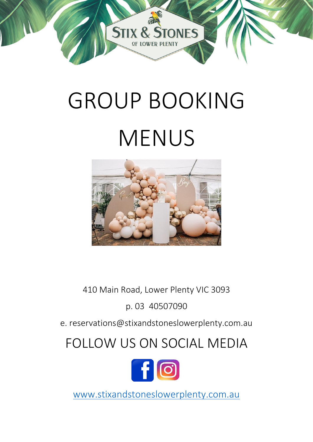

# GROUP BOOKING MENUS



410 Main Road, Lower Plenty VIC 3093

p. 03 40507090

e. reservations@stixandstoneslowerplenty.com.au

# FOLLOW US ON SOCIAL MEDIA



[www.stixandstoneslowerplenty.com.au](http://www.stixandstoneslowerplenty.com.au/)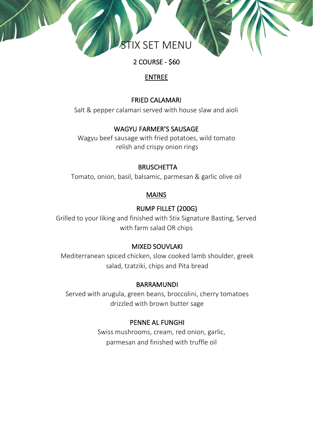

2 COURSE - \$60

#### ENTREE

#### FRIED CALAMARI

Salt & pepper calamari served with house slaw and aioli

#### WAGYU FARMER'S SAUSAGE

Wagyu beef sausage with fried potatoes, wild tomato relish and crispy onion rings

#### **BRUSCHETTA**

Tomato, onion, basil, balsamic, parmesan & garlic olive oil

#### MAINS

#### RUMP FILLET (200G)

Grilled to your liking and finished with Stix Signature Basting, Served with farm salad OR chips

#### MIXED SOUVLAKI

Mediterranean spiced chicken, slow cooked lamb shoulder, greek salad, tzatziki, chips and Pita bread

#### **BARRAMUNDI**

Served with arugula, green beans, broccolini, cherry tomatoes drizzled with brown butter sage

#### PENNE AL FUNGHI

Swiss mushrooms, cream, red onion, garlic, parmesan and finished with truffle oil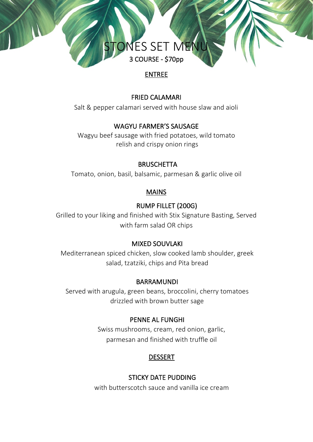# NES SET MEN 3 COURSE - \$70pp

# ENTREE

#### FRIED CALAMARI

Salt & pepper calamari served with house slaw and aioli

# WAGYU FARMER'S SAUSAGE

Wagyu beef sausage with fried potatoes, wild tomato relish and crispy onion rings

#### **BRUSCHETTA**

Tomato, onion, basil, balsamic, parmesan & garlic olive oil

# MAINS

# RUMP FILLET (200G)

Grilled to your liking and finished with Stix Signature Basting, Served with farm salad OR chips

# MIXED SOUVLAKI

Mediterranean spiced chicken, slow cooked lamb shoulder, greek salad, tzatziki, chips and Pita bread

# BARRAMUNDI

Served with arugula, green beans, broccolini, cherry tomatoes drizzled with brown butter sage

# PENNE AL FUNGHI

Swiss mushrooms, cream, red onion, garlic, parmesan and finished with truffle oil

# DESSERT

# STICKY DATE PUDDING

with butterscotch sauce and vanilla ice cream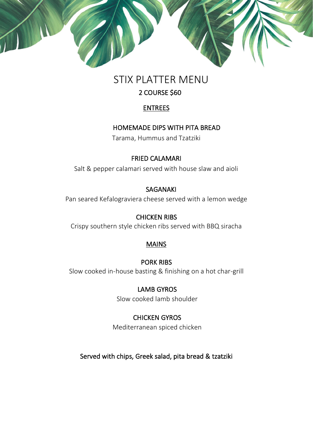

# STIX PLATTER MENU

# 2 COURSE \$60

#### ENTREES

# HOMEMADE DIPS WITH PITA BREAD

Tarama, Hummus and Tzatziki

#### FRIED CALAMARI

Salt & pepper calamari served with house slaw and aioli

#### SAGANAKI

Pan seared Kefalograviera cheese served with a lemon wedge

# CHICKEN RIBS

Crispy southern style chicken ribs served with BBQ siracha

# **MAINS**

# PORK RIBS

Slow cooked in-house basting & finishing on a hot char-grill

# LAMB GYROS

Slow cooked lamb shoulder

# CHICKEN GYROS

Mediterranean spiced chicken

Served with chips, Greek salad, pita bread & tzatziki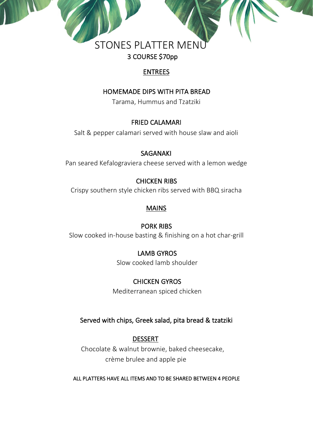# **STONES PLATTER MENI** 3 COURSE \$70pp

# ENTREES

# HOMEMADE DIPS WITH PITA BREAD

Tarama, Hummus and Tzatziki

# FRIED CALAMARI

Salt & pepper calamari served with house slaw and aioli

# SAGANAKI

Pan seared Kefalograviera cheese served with a lemon wedge

# CHICKEN RIBS

Crispy southern style chicken ribs served with BBQ siracha

# MAINS

# PORK RIBS

Slow cooked in-house basting & finishing on a hot char-grill

# LAMB GYROS

Slow cooked lamb shoulder

# CHICKEN GYROS

Mediterranean spiced chicken

# Served with chips, Greek salad, pita bread & tzatziki

# DESSERT

 Chocolate & walnut brownie, baked cheesecake, crème brulee and apple pie

# ALL PLATTERS HAVE ALL ITEMS AND TO BE SHARED BETWEEN 4 PEOPLE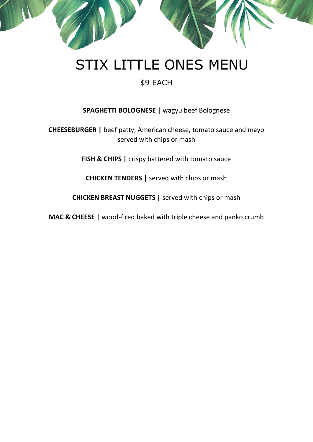

# \$9 EACH

#### **SPAGHETTI BOLOGNESE |** wagyu beef Bolognese

**CHEESEBURGER |** beef patty, American cheese, tomato sauce and mayo served with chips or mash

**FISH & CHIPS |** crispy battered with tomato sauce

**CHICKEN TENDERS |** served with chips or mash

**CHICKEN BREAST NUGGETS |** served with chips or mash

**MAC & CHEESE |** wood-fired baked with triple cheese and panko crumb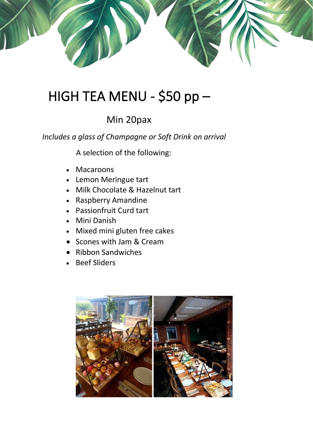

# HIGH TEA MENU - \$50 pp –

# Min 20pax

*Includes a glass of Champagne or Soft Drink on arrival*

A selection of the following:

- Macaroons
- Lemon Meringue tart
- Milk Chocolate & Hazelnut tart
- Raspberry Amandine
- Passionfruit Curd tart
- Mini Danish
- Mixed mini gluten free cakes
- Scones with Jam & Cream
- Ribbon Sandwiches
- Beef Sliders

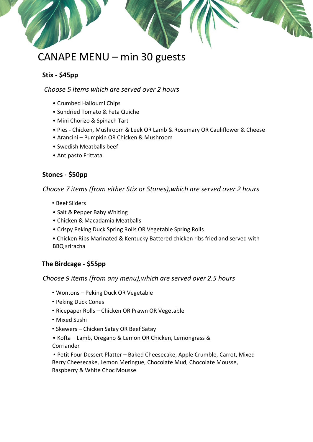# CANAPE MENU – min 30 guests

#### **Stix - \$45pp**

#### *Choose 5 items which are served over 2 hours*

- Crumbed Halloumi Chips
- Sundried Tomato & Feta Quiche
- Mini Chorizo & Spinach Tart
- Pies Chicken, Mushroom & Leek OR Lamb & Rosemary OR Cauliflower & Cheese
- Arancini Pumpkin OR Chicken & Mushroom
- Swedish Meatballs beef
- Antipasto Frittata

#### **Stones - \$50pp**

*Choose 7 items (from either Stix or Stones),which are served over 2 hours*

- Beef Sliders
- Salt & Pepper Baby Whiting
- Chicken & Macadamia Meatballs
- Crispy Peking Duck Spring Rolls OR Vegetable Spring Rolls
- Chicken Ribs Marinated & Kentucky Battered chicken ribs fried and served with BBQ sriracha

#### **The Birdcage - \$55pp**

#### *Choose 9 items (from any menu),which are served over 2.5 hours*

- Wontons Peking Duck OR Vegetable
- Peking Duck Cones
- Ricepaper Rolls Chicken OR Prawn OR Vegetable
- Mixed Sushi
- Skewers Chicken Satay OR Beef Satay
- Kofta Lamb, Oregano & Lemon OR Chicken, Lemongrass & Corriander

 • Petit Four Dessert Platter – Baked Cheesecake, Apple Crumble, Carrot, Mixed Berry Cheesecake, Lemon Meringue, Chocolate Mud, Chocolate Mousse, Raspberry & White Choc Mousse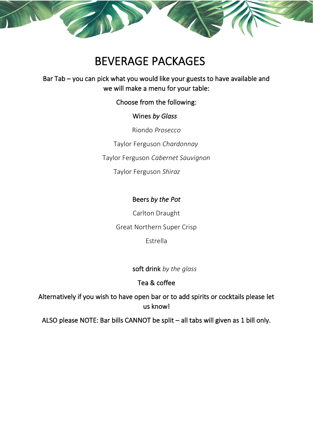# BEVERAGE PACKAGES

# Bar Tab – you can pick what you would like your guests to have available and we will make a menu for your table:

#### Choose from the following:

#### Wines *by Glass*

Riondo *Prosecco*

Taylor Ferguson *Chardonnay*

Taylor Ferguson *Cabernet Sauvignon*

Taylor Ferguson *Shiraz*

# Beers *by the Pot*

Carlton Draught Great Northern Super Crisp Estrella

soft drink *by the glass*

# Tea & coffee

Alternatively if you wish to have open bar or to add spirits or cocktails please let us know!

ALSO please NOTE: Bar bills CANNOT be split – all tabs will given as 1 bill only.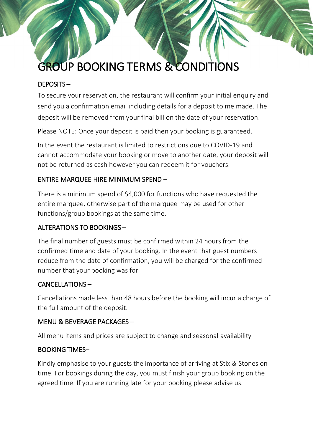# GROUP BOOKING TERMS & CONDITIONS

#### DEPOSITS –

To secure your reservation, the restaurant will confirm your initial enquiry and send you a confirmation email including details for a deposit to me made. The deposit will be removed from your final bill on the date of your reservation.

Please NOTE: Once your deposit is paid then your booking is guaranteed.

In the event the restaurant is limited to restrictions due to COVID-19 and cannot accommodate your booking or move to another date, your deposit will not be returned as cash however you can redeem it for vouchers.

#### ENTIRE MARQUEE HIRE MINIMUM SPEND –

There is a minimum spend of \$4,000 for functions who have requested the entire marquee, otherwise part of the marquee may be used for other functions/group bookings at the same time.

#### ALTERATIONS TO BOOKINGS –

The final number of guests must be confirmed within 24 hours from the confirmed time and date of your booking. In the event that guest numbers reduce from the date of confirmation, you will be charged for the confirmed number that your booking was for.

#### CANCELLATIONS –

Cancellations made less than 48 hours before the booking will incur a charge of the full amount of the deposit.

#### MENU & BEVERAGE PACKAGES –

All menu items and prices are subject to change and seasonal availability

#### BOOKING TIMES–

Kindly emphasise to your guests the importance of arriving at Stix & Stones on time. For bookings during the day, you must finish your group booking on the agreed time. If you are running late for your booking please advise us.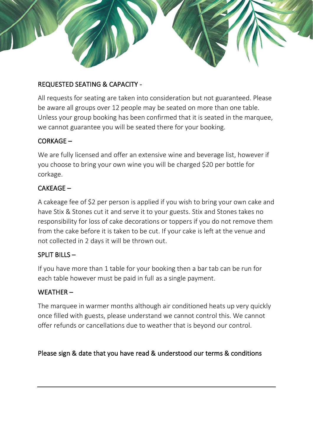# REQUESTED SEATING & CAPACITY -

All requests for seating are taken into consideration but not guaranteed. Please be aware all groups over 12 people may be seated on more than one table. Unless your group booking has been confirmed that it is seated in the marquee, we cannot guarantee you will be seated there for your booking.

#### CORKAGE –

We are fully licensed and offer an extensive wine and beverage list, however if you choose to bring your own wine you will be charged \$20 per bottle for corkage.

#### CAKEAGE –

A cakeage fee of \$2 per person is applied if you wish to bring your own cake and have Stix & Stones cut it and serve it to your guests. Stix and Stones takes no responsibility for loss of cake decorations or toppers if you do not remove them from the cake before it is taken to be cut. If your cake is left at the venue and not collected in 2 days it will be thrown out.

#### SPLIT BILLS –

If you have more than 1 table for your booking then a bar tab can be run for each table however must be paid in full as a single payment.

#### WEATHER –

The marquee in warmer months although air conditioned heats up very quickly once filled with guests, please understand we cannot control this. We cannot offer refunds or cancellations due to weather that is beyond our control.

#### Please sign & date that you have read & understood our terms & conditions